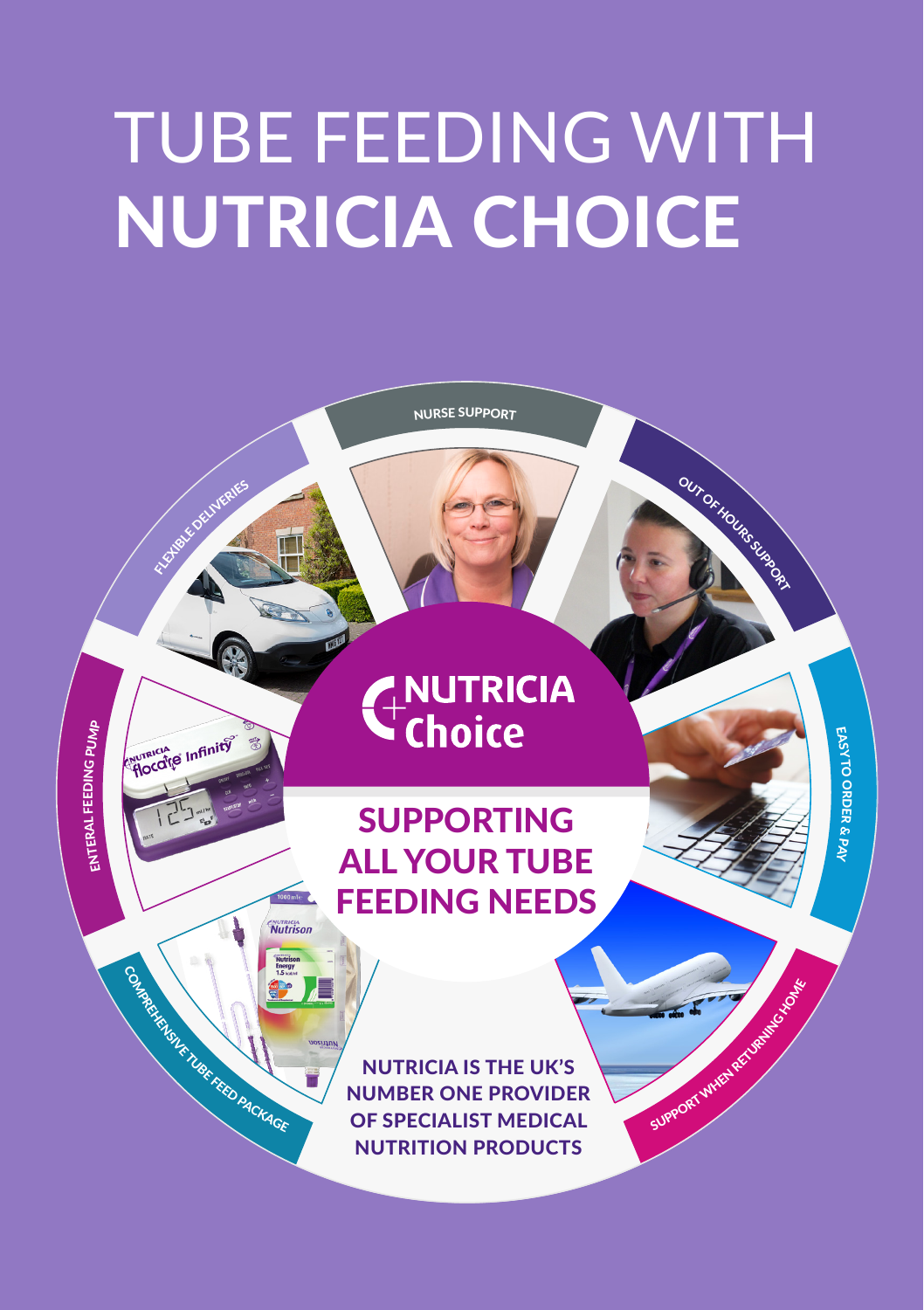# TUBE FEEDING WITH NUTRICIA CHOICE

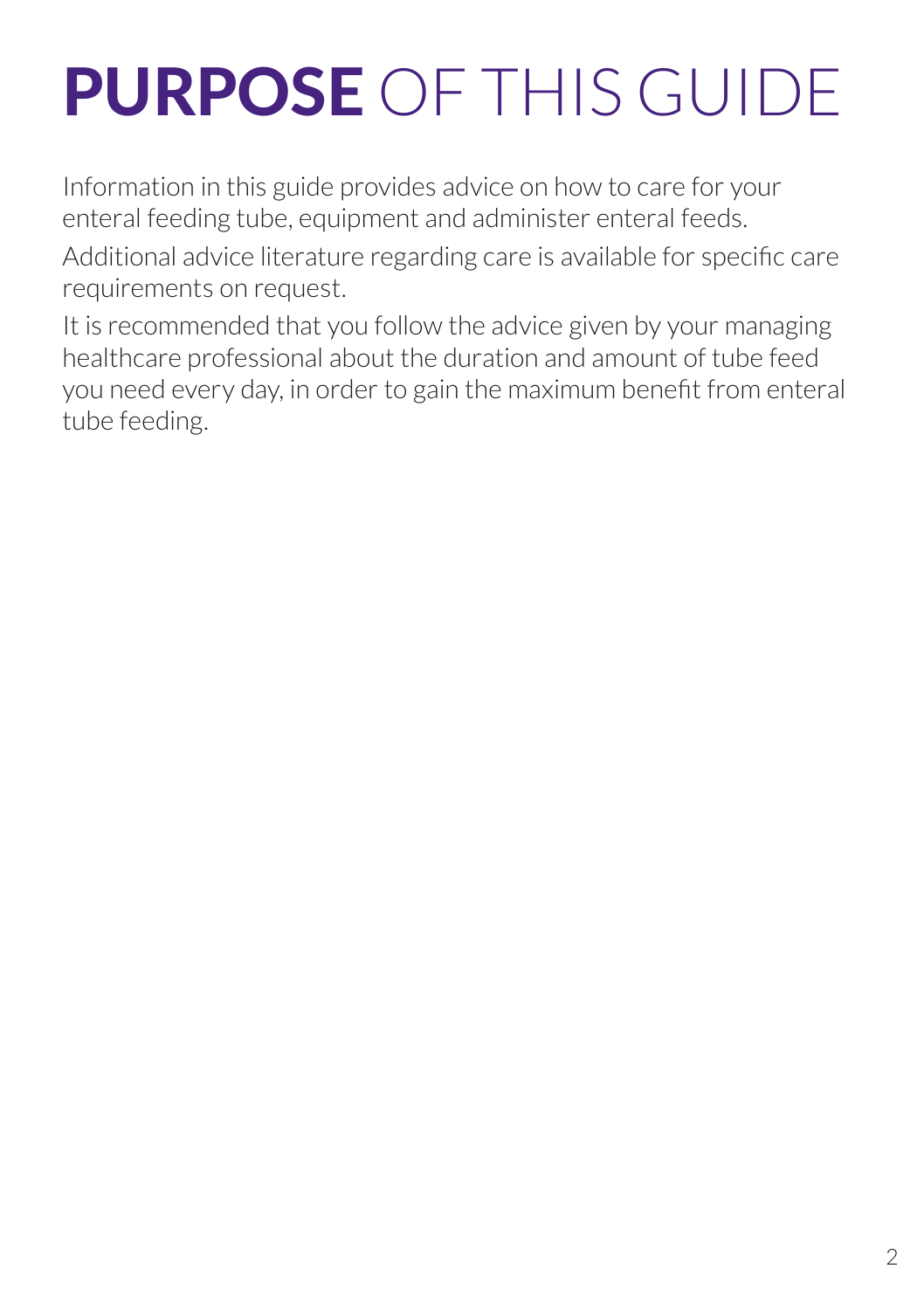## PURPOSE OF THIS GUIDE

Information in this guide provides advice on how to care for your enteral feeding tube, equipment and administer enteral feeds.

Additional advice literature regarding care is available for specific care requirements on request.

It is recommended that you follow the advice given by your managing healthcare professional about the duration and amount of tube feed you need every day, in order to gain the maximum benefit from enteral tube feeding.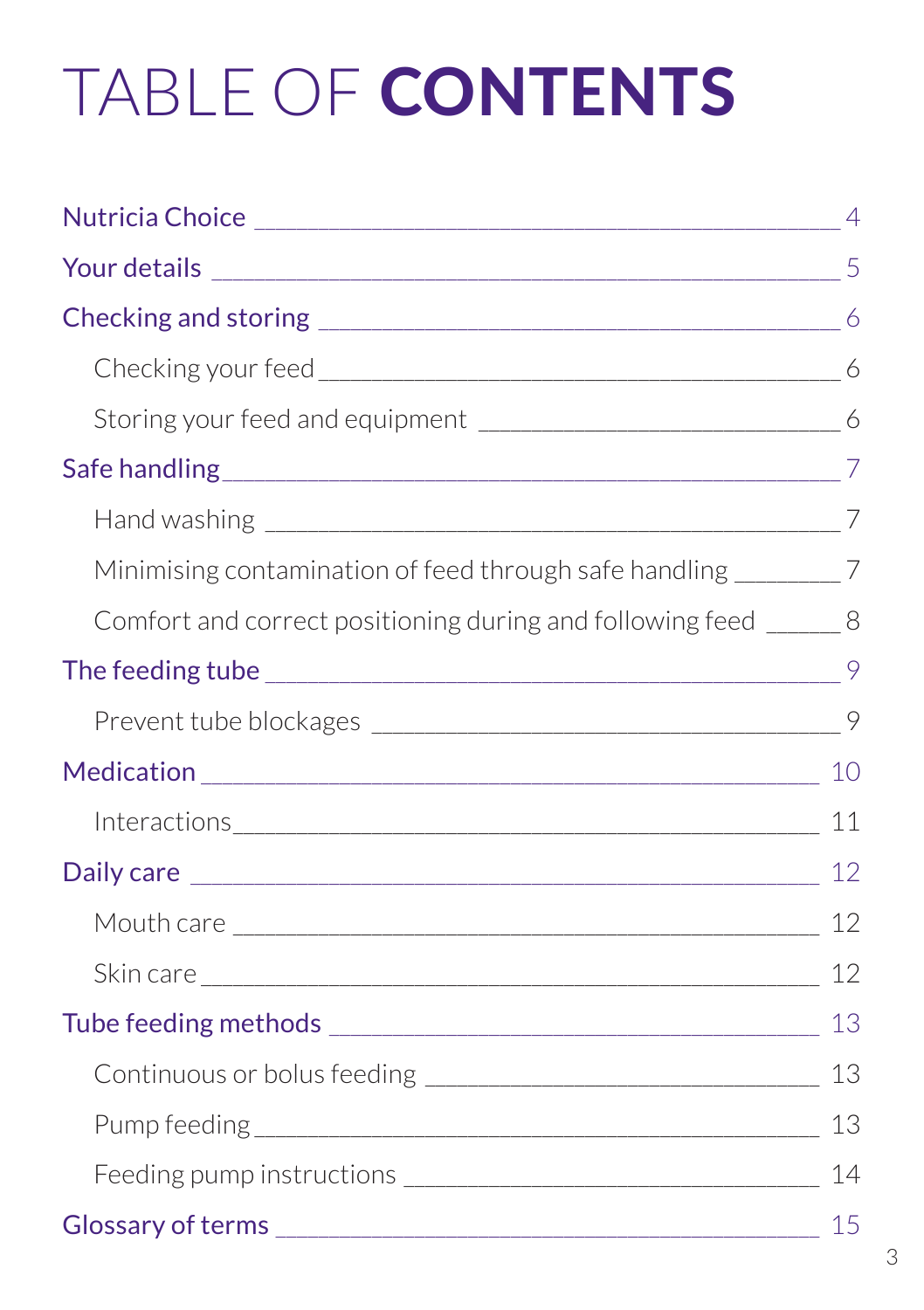# TABLE OF CONTENTS

| Minimising contamination of feed through safe handling _________7                                                                                                                                                              |    |
|--------------------------------------------------------------------------------------------------------------------------------------------------------------------------------------------------------------------------------|----|
| Comfort and correct positioning during and following feed ______ 8                                                                                                                                                             |    |
|                                                                                                                                                                                                                                |    |
|                                                                                                                                                                                                                                |    |
|                                                                                                                                                                                                                                |    |
|                                                                                                                                                                                                                                |    |
|                                                                                                                                                                                                                                |    |
|                                                                                                                                                                                                                                |    |
|                                                                                                                                                                                                                                |    |
| Tube feeding methods and the contract of the contract of the contract of the contract of the contract of the contract of the contract of the contract of the contract of the contract of the contract of the contract of the c | 13 |
|                                                                                                                                                                                                                                |    |
|                                                                                                                                                                                                                                |    |
|                                                                                                                                                                                                                                | 14 |
|                                                                                                                                                                                                                                |    |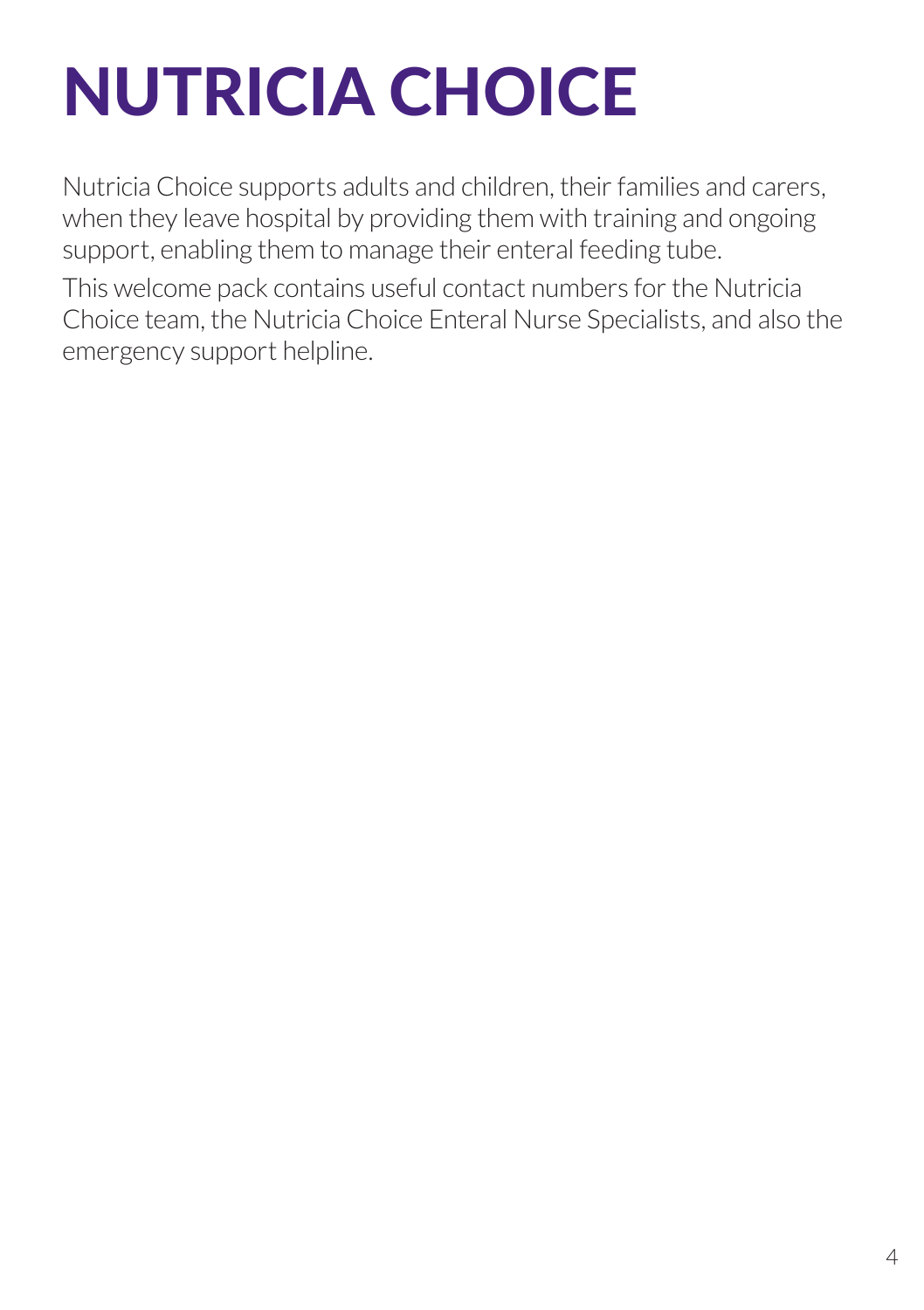# NUTRICIA CHOICE

Nutricia Choice supports adults and children, their families and carers, when they leave hospital by providing them with training and ongoing support, enabling them to manage their enteral feeding tube.

This welcome pack contains useful contact numbers for the Nutricia Choice team, the Nutricia Choice Enteral Nurse Specialists, and also the emergency support helpline.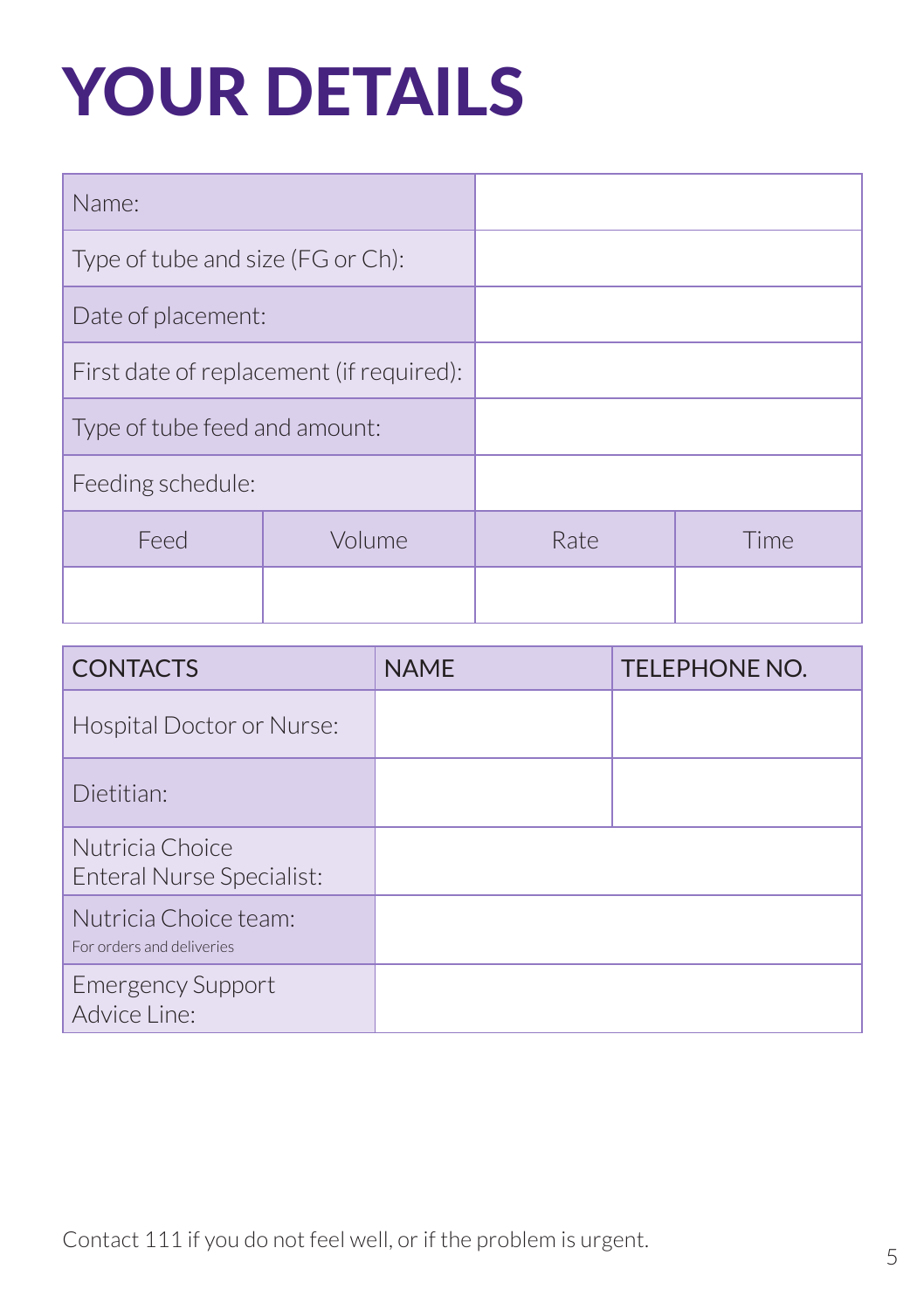## YOUR DETAILS

| Name:                                    |        |      |      |
|------------------------------------------|--------|------|------|
| Type of tube and size (FG or Ch):        |        |      |      |
| Date of placement:                       |        |      |      |
| First date of replacement (if required): |        |      |      |
| Type of tube feed and amount:            |        |      |      |
| Feeding schedule:                        |        |      |      |
| Feed                                     | Volume | Rate | Time |
|                                          |        |      |      |

| <b>CONTACTS</b>                                    | <b>NAME</b> | <b>TELEPHONE NO.</b> |
|----------------------------------------------------|-------------|----------------------|
| Hospital Doctor or Nurse:                          |             |                      |
| Dietitian:                                         |             |                      |
| Nutricia Choice<br>Enteral Nurse Specialist:       |             |                      |
| Nutricia Choice team:<br>For orders and deliveries |             |                      |
| <b>Emergency Support</b><br>Advice Line:           |             |                      |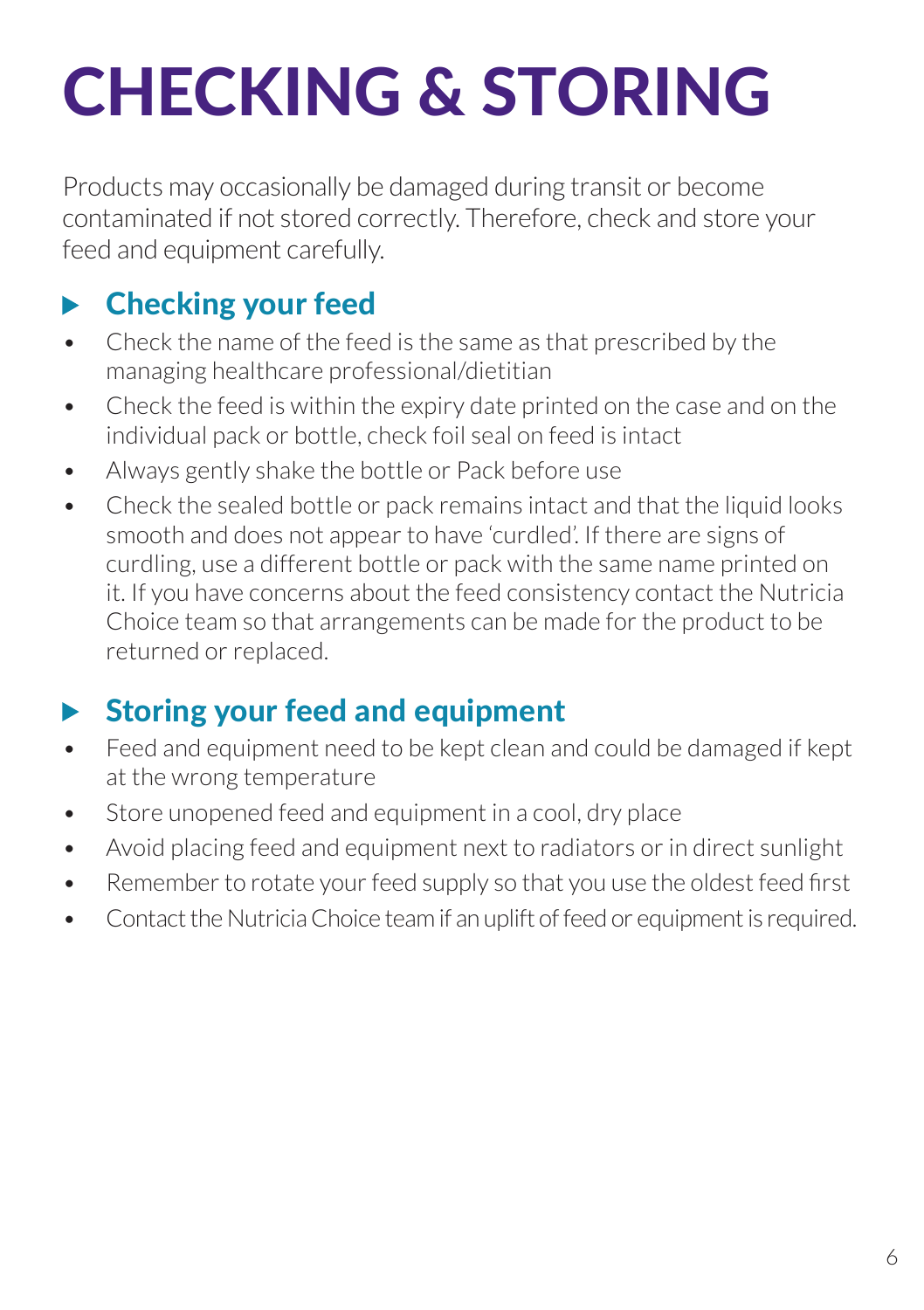# CHECKING & STORING

Products may occasionally be damaged during transit or become contaminated if not stored correctly. Therefore, check and store your feed and equipment carefully.

#### Checking your feed  $\blacktriangleright$

- Check the name of the feed is the same as that prescribed by the managing healthcare professional/dietitian
- Check the feed is within the expiry date printed on the case and on the individual pack or bottle, check foil seal on feed is intact
- Always gently shake the bottle or Pack before use
- Check the sealed bottle or pack remains intact and that the liquid looks smooth and does not appear to have 'curdled'. If there are signs of curdling, use a different bottle or pack with the same name printed on it. If you have concerns about the feed consistency contact the Nutricia Choice team so that arrangements can be made for the product to be returned or replaced.

#### Storing your feed and equipment  $\blacktriangleright$

- Feed and equipment need to be kept clean and could be damaged if kept at the wrong temperature
- Store unopened feed and equipment in a cool, dry place
- Avoid placing feed and equipment next to radiators or in direct sunlight
- Remember to rotate your feed supply so that you use the oldest feed first
- Contact the Nutricia Choice team if an uplift of feed or equipment is required.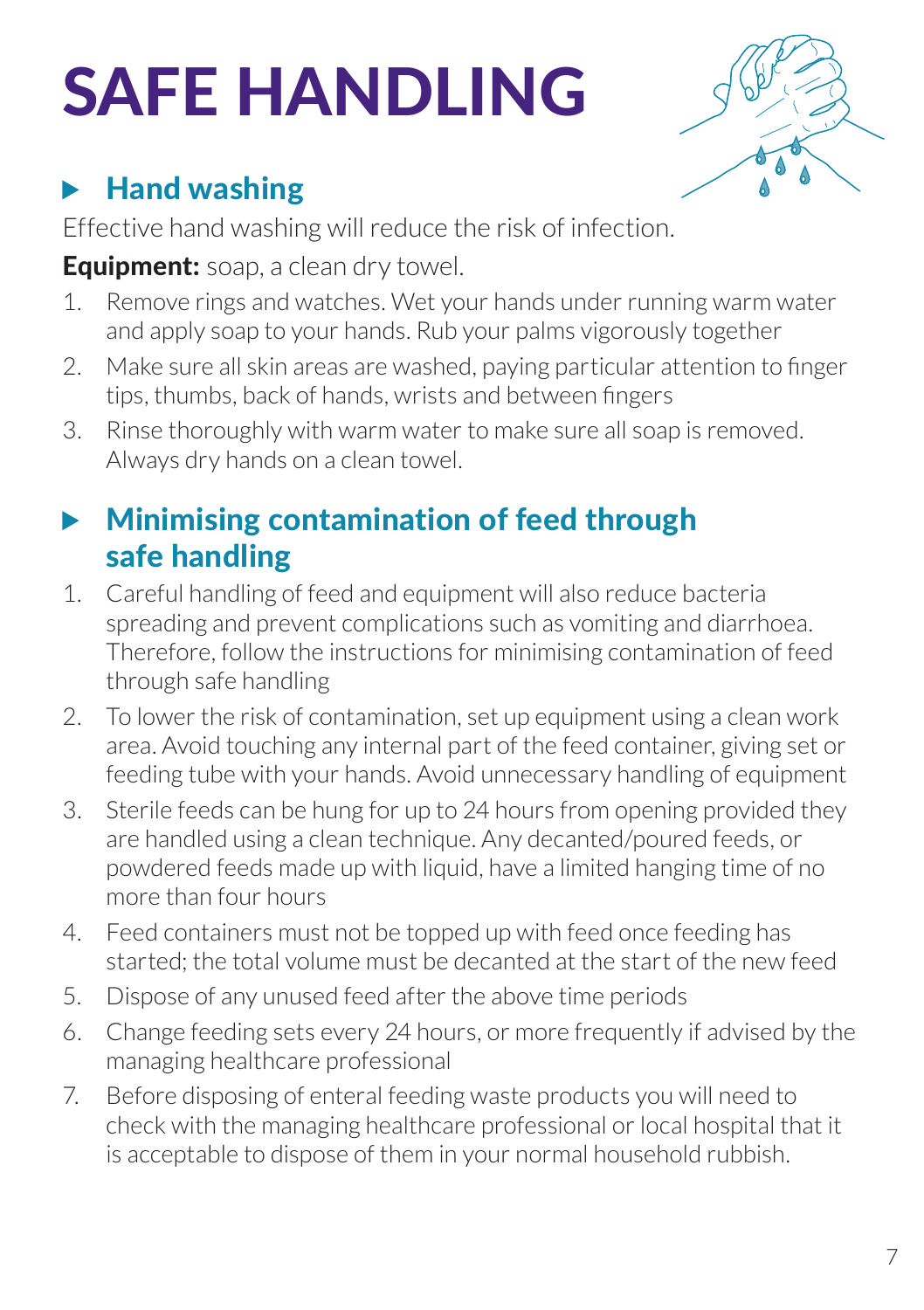# SAFE HANDLING



Effective hand washing will reduce the risk of infection.

**Equipment:** soap, a clean dry towel.

- 1. Remove rings and watches. Wet your hands under running warm water and apply soap to your hands. Rub your palms vigorously together
- 2. Make sure all skin areas are washed, paying particular attention to finger tips, thumbs, back of hands, wrists and between fingers
- 3. Rinse thoroughly with warm water to make sure all soap is removed. Always dry hands on a clean towel.

#### Minimising contamination of feed through  $\blacktriangleright$ safe handling

- 1. Careful handling of feed and equipment will also reduce bacteria spreading and prevent complications such as vomiting and diarrhoea. Therefore, follow the instructions for minimising contamination of feed through safe handling
- 2. To lower the risk of contamination, set up equipment using a clean work area. Avoid touching any internal part of the feed container, giving set or feeding tube with your hands. Avoid unnecessary handling of equipment
- 3. Sterile feeds can be hung for up to 24 hours from opening provided they are handled using a clean technique. Any decanted/poured feeds, or powdered feeds made up with liquid, have a limited hanging time of no more than four hours
- 4. Feed containers must not be topped up with feed once feeding has started; the total volume must be decanted at the start of the new feed
- 5. Dispose of any unused feed after the above time periods
- 6. Change feeding sets every 24 hours, or more frequently if advised by the managing healthcare professional
- 7. Before disposing of enteral feeding waste products you will need to check with the managing healthcare professional or local hospital that it is acceptable to dispose of them in your normal household rubbish.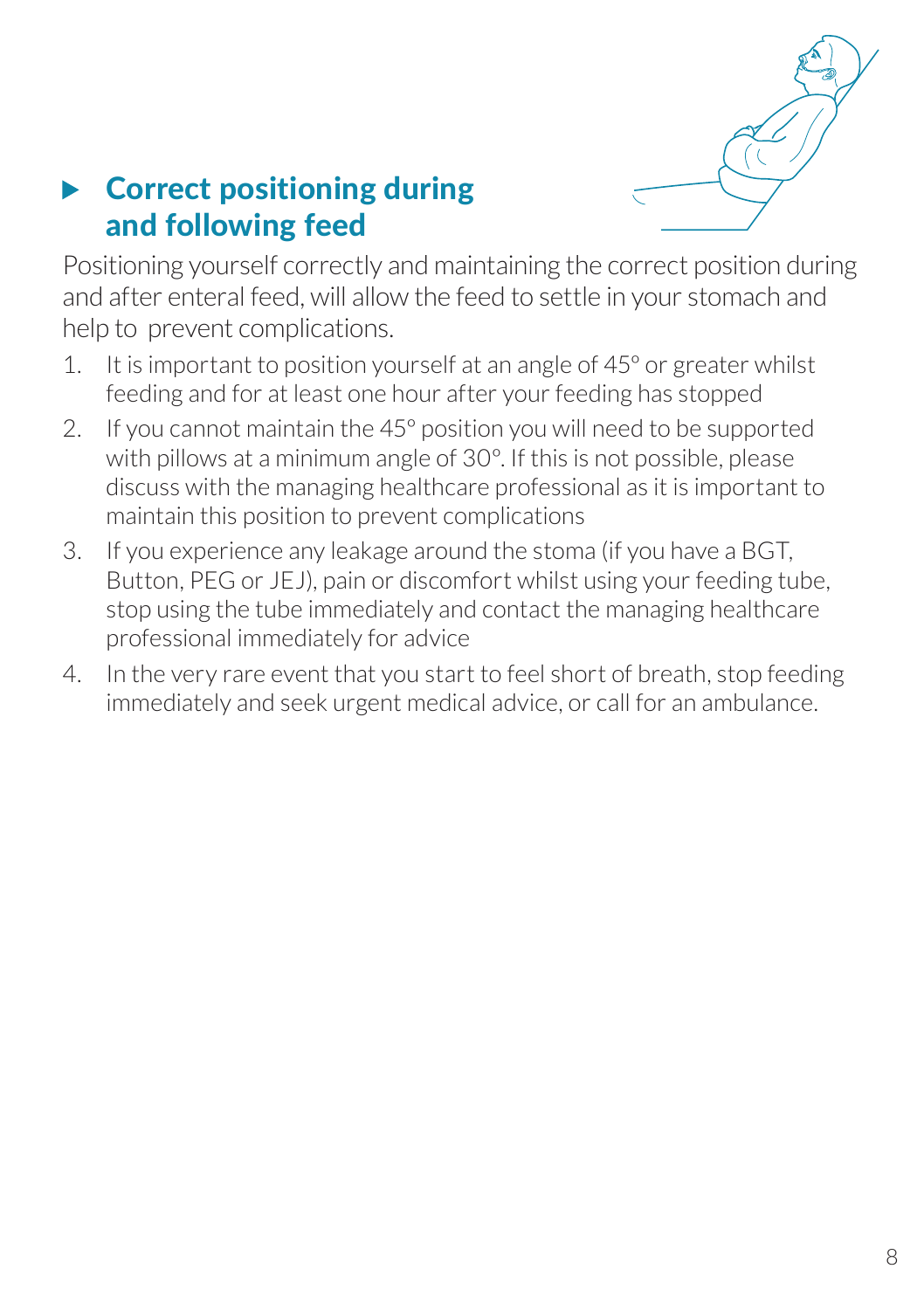

#### ▶ Correct positioning during and following feed

Positioning yourself correctly and maintaining the correct position during and after enteral feed, will allow the feed to settle in your stomach and help to prevent complications.

- 1. It is important to position yourself at an angle of 45º or greater whilst feeding and for at least one hour after your feeding has stopped
- 2. If you cannot maintain the 45º position you will need to be supported with pillows at a minimum angle of 30º. If this is not possible, please discuss with the managing healthcare professional as it is important to maintain this position to prevent complications
- 3. If you experience any leakage around the stoma (if you have a BGT, Button, PEG or JEJ), pain or discomfort whilst using your feeding tube, stop using the tube immediately and contact the managing healthcare professional immediately for advice
- 4. In the very rare event that you start to feel short of breath, stop feeding immediately and seek urgent medical advice, or call for an ambulance.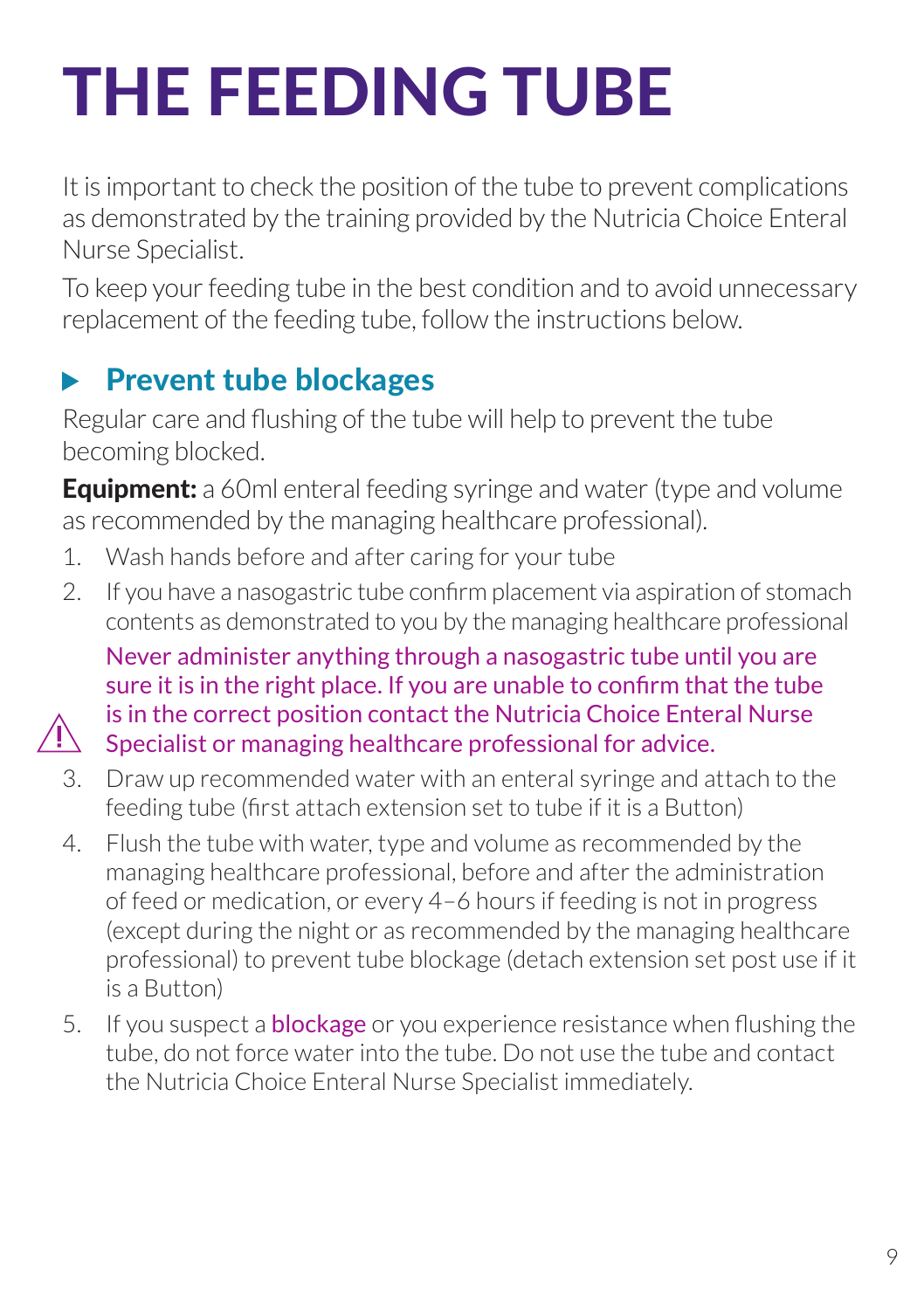# THE FEEDING TUBE

It is important to check the position of the tube to prevent complications as demonstrated by the training provided by the Nutricia Choice Enteral Nurse Specialist.

To keep your feeding tube in the best condition and to avoid unnecessary replacement of the feeding tube, follow the instructions below.

### Prevent tube blockages

Regular care and flushing of the tube will help to prevent the tube becoming blocked.

**Equipment:** a 60ml enteral feeding syringe and water (type and volume as recommended by the managing healthcare professional).

- 1. Wash hands before and after caring for your tube
- 2. If you have a nasogastric tube confirm placement via aspiration of stomach contents as demonstrated to you by the managing healthcare professional Never administer anything through a nasogastric tube until you are sure it is in the right place. If you are unable to confirm that the tube is in the correct position contact the Nutricia Choice Enteral Nurse Specialist or managing healthcare professional for advice.
- 3. Draw up recommended water with an enteral syringe and attach to the feeding tube (first attach extension set to tube if it is a Button)
- 4. Flush the tube with water, type and volume as recommended by the managing healthcare professional, before and after the administration of feed or medication, or every 4–6 hours if feeding is not in progress (except during the night or as recommended by the managing healthcare professional) to prevent tube blockage (detach extension set post use if it is a Button)
- 5. If you suspect a **blockage** or you experience resistance when flushing the tube, do not force water into the tube. Do not use the tube and contact the Nutricia Choice Enteral Nurse Specialist immediately.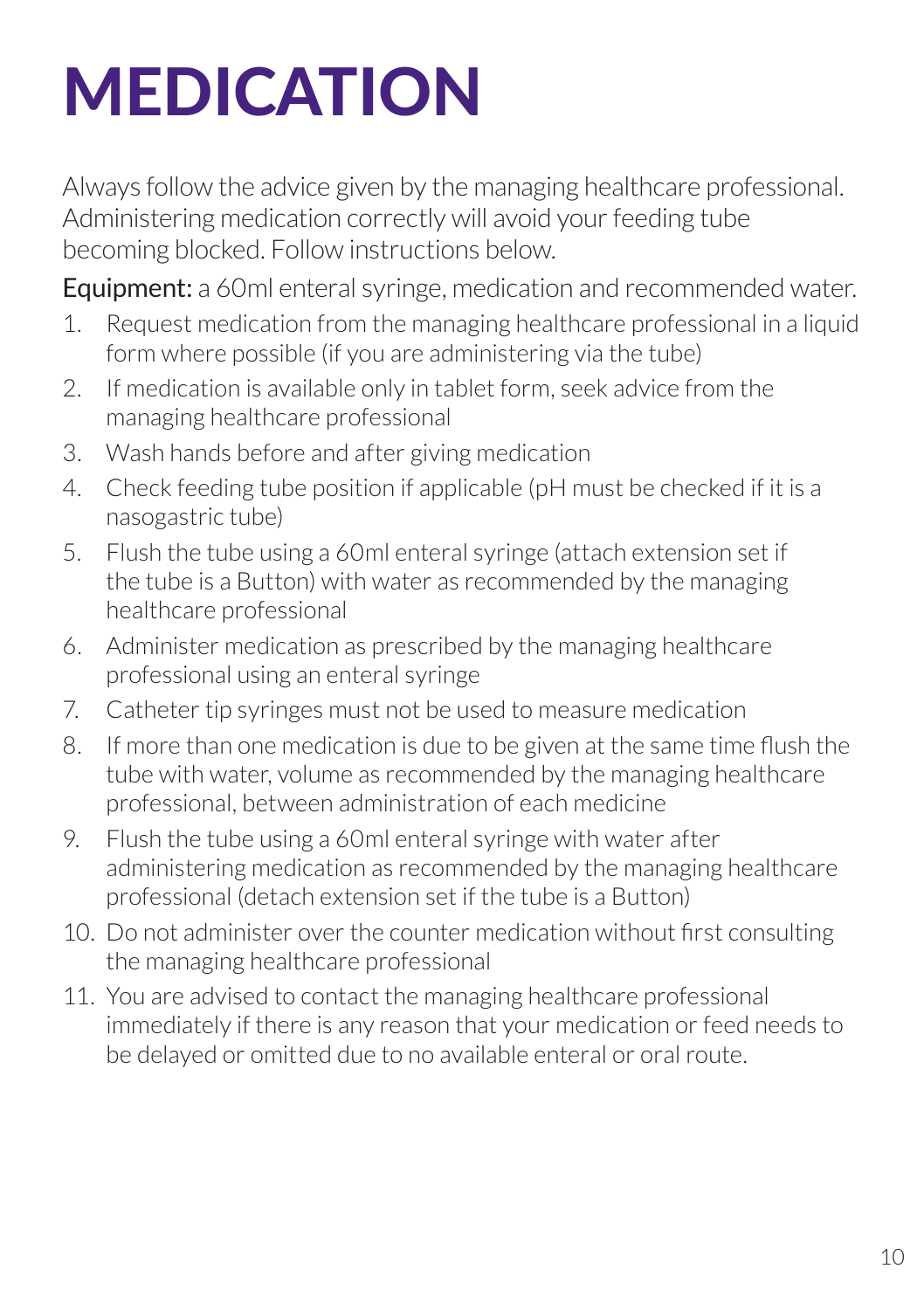# MEDICATION

Always follow the advice given by the managing healthcare professional. Administering medication correctly will avoid your feeding tube becoming blocked. Follow instructions below.

Equipment: a 60ml enteral syringe, medication and recommended water.

- 1. Request medication from the managing healthcare professional in a liquid form where possible (if you are administering via the tube)
- 2. If medication is available only in tablet form, seek advice from the managing healthcare professional
- 3. Wash hands before and after giving medication
- 4. Check feeding tube position if applicable (pH must be checked if it is a nasogastric tube)
- 5. Flush the tube using a 60ml enteral syringe (attach extension set if the tube is a Button) with water as recommended by the managing healthcare professional
- 6. Administer medication as prescribed by the managing healthcare professional using an enteral syringe
- 7. Catheter tip syringes must not be used to measure medication
- 8. If more than one medication is due to be given at the same time flush the tube with water, volume as recommended by the managing healthcare professional, between administration of each medicine
- 9. Flush the tube using a 60ml enteral syringe with water after administering medication as recommended by the managing healthcare professional (detach extension set if the tube is a Button)
- 10. Do not administer over the counter medication without first consulting the managing healthcare professional
- 11. You are advised to contact the managing healthcare professional immediately if there is any reason that your medication or feed needs to be delayed or omitted due to no available enteral or oral route.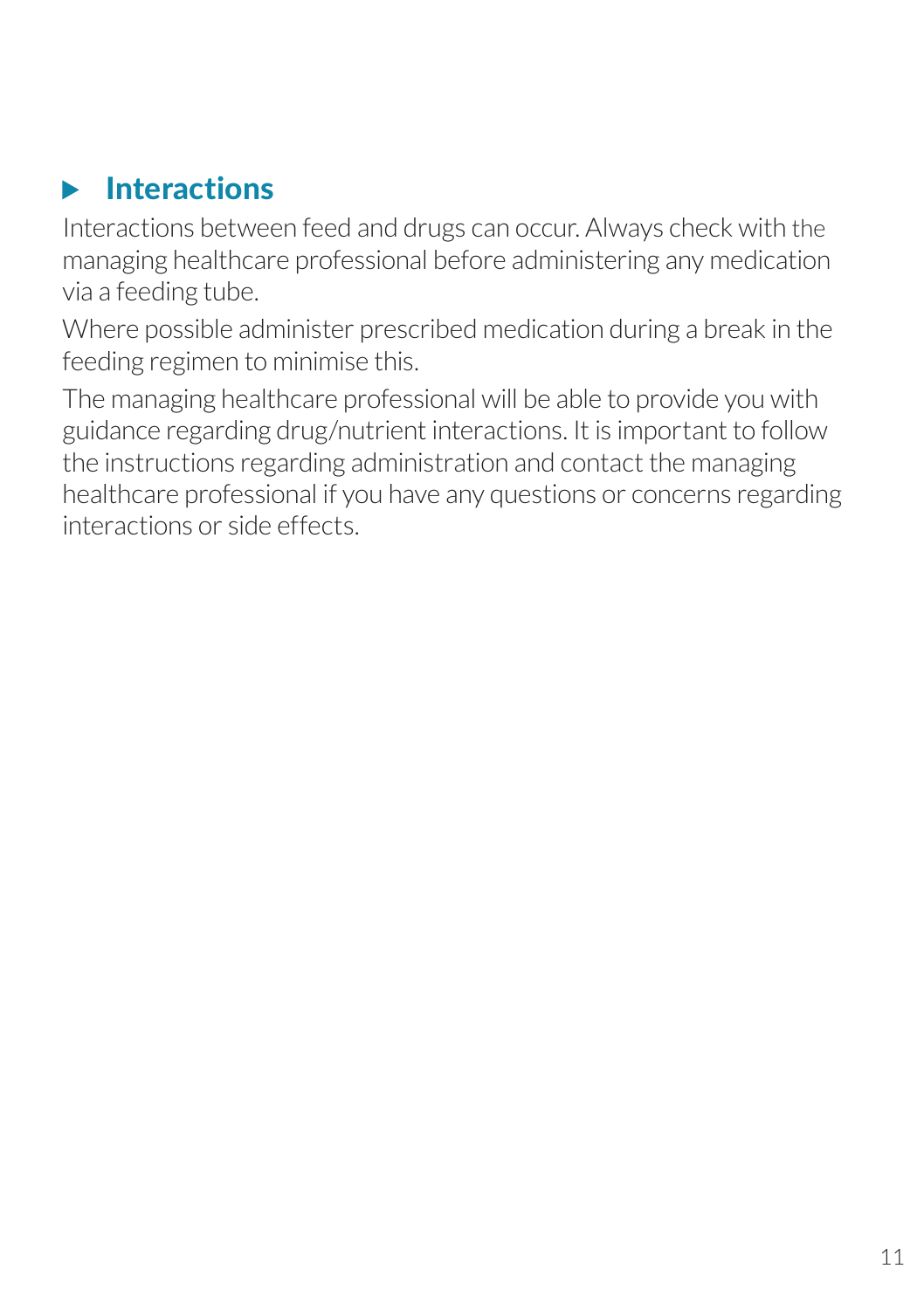#### **Interactions** ь

Interactions between feed and drugs can occur. Always check with the managing healthcare professional before administering any medication via a feeding tube.

Where possible administer prescribed medication during a break in the feeding regimen to minimise this.

The managing healthcare professional will be able to provide you with guidance regarding drug/nutrient interactions. It is important to follow the instructions regarding administration and contact the managing healthcare professional if you have any questions or concerns regarding interactions or side effects.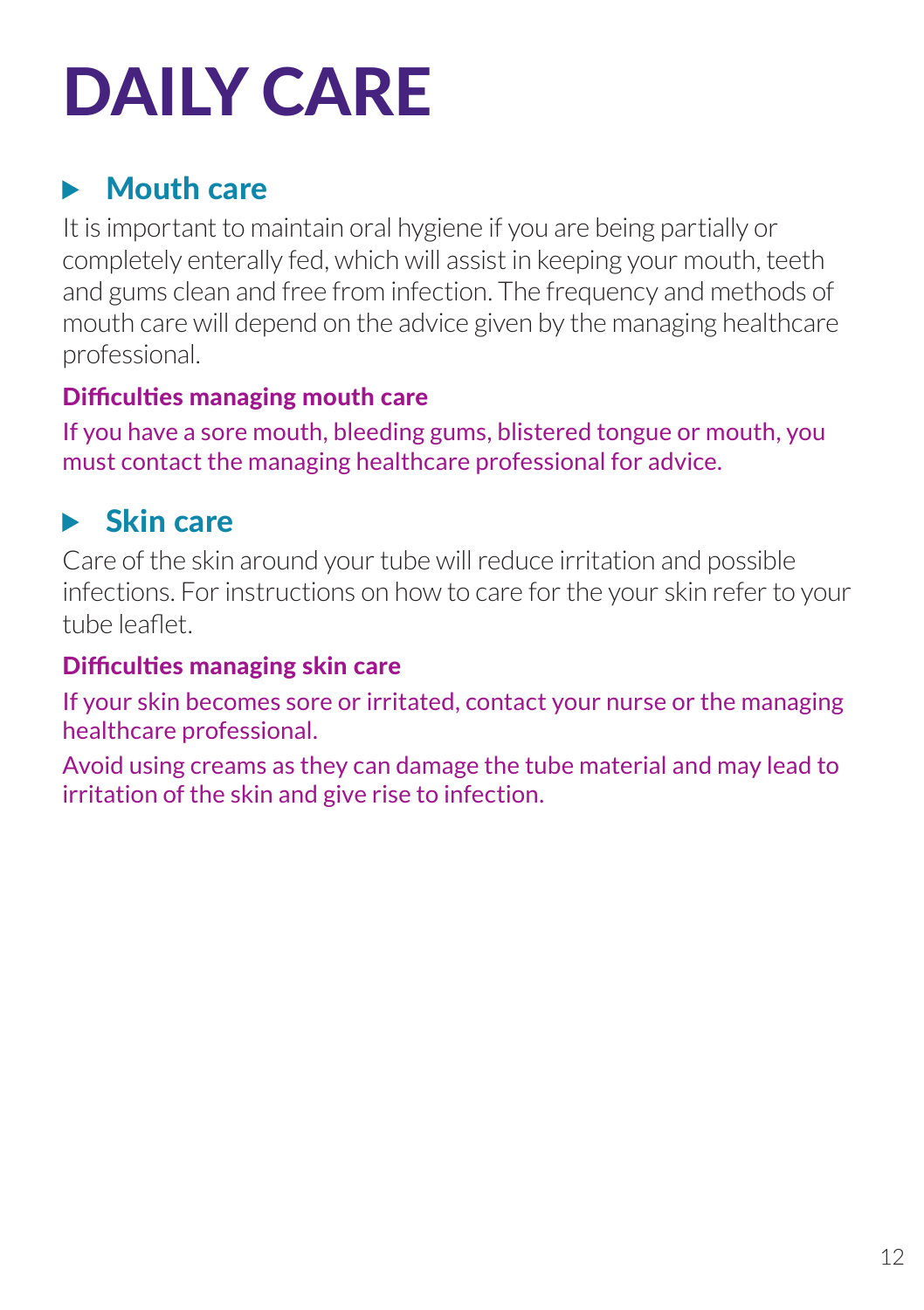# DAILY CARE

### **Mouth care**

It is important to maintain oral hygiene if you are being partially or completely enterally fed, which will assist in keeping your mouth, teeth and gums clean and free from infection. The frequency and methods of mouth care will depend on the advice given by the managing healthcare professional.

#### Difficulties managing mouth care

If you have a sore mouth, bleeding gums, blistered tongue or mouth, you must contact the managing healthcare professional for advice.

#### Skin care

Care of the skin around your tube will reduce irritation and possible infections. For instructions on how to care for the your skin refer to your tube leaflet.

#### Difficulties managing skin care

If your skin becomes sore or irritated, contact your nurse or the managing healthcare professional.

Avoid using creams as they can damage the tube material and may lead to irritation of the skin and give rise to infection.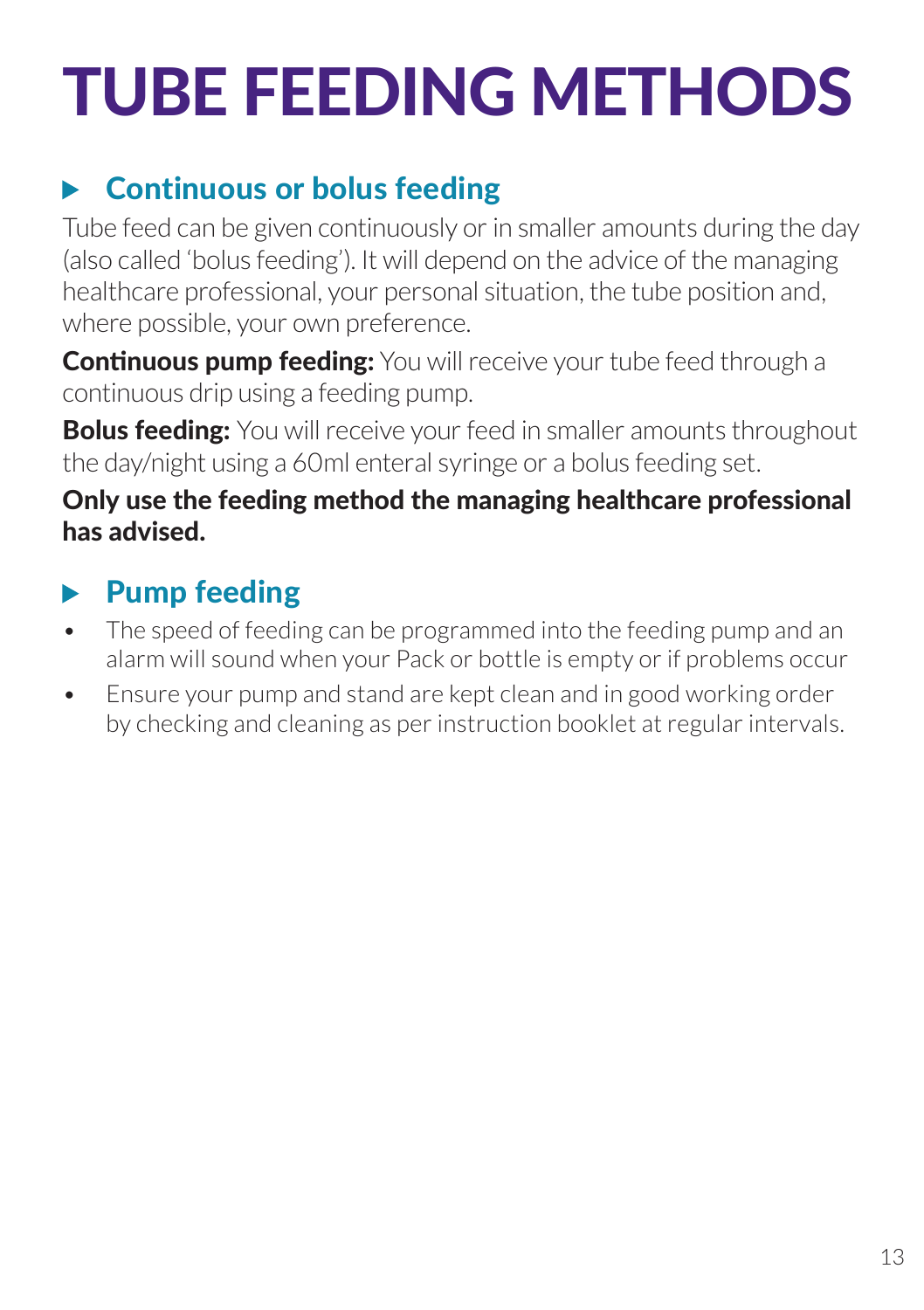# TUBE FEEDING METHODS

#### Continuous or bolus feeding  $\blacktriangleright$

Tube feed can be given continuously or in smaller amounts during the day (also called 'bolus feeding'). It will depend on the advice of the managing healthcare professional, your personal situation, the tube position and, where possible, your own preference.

**Continuous pump feeding:** You will receive your tube feed through a continuous drip using a feeding pump.

**Bolus feeding:** You will receive your feed in smaller amounts throughout the day/night using a 60ml enteral syringe or a bolus feeding set.

#### Only use the feeding method the managing healthcare professional has advised.

#### Pump feeding

- The speed of feeding can be programmed into the feeding pump and an alarm will sound when your Pack or bottle is empty or if problems occur
- Ensure your pump and stand are kept clean and in good working order by checking and cleaning as per instruction booklet at regular intervals.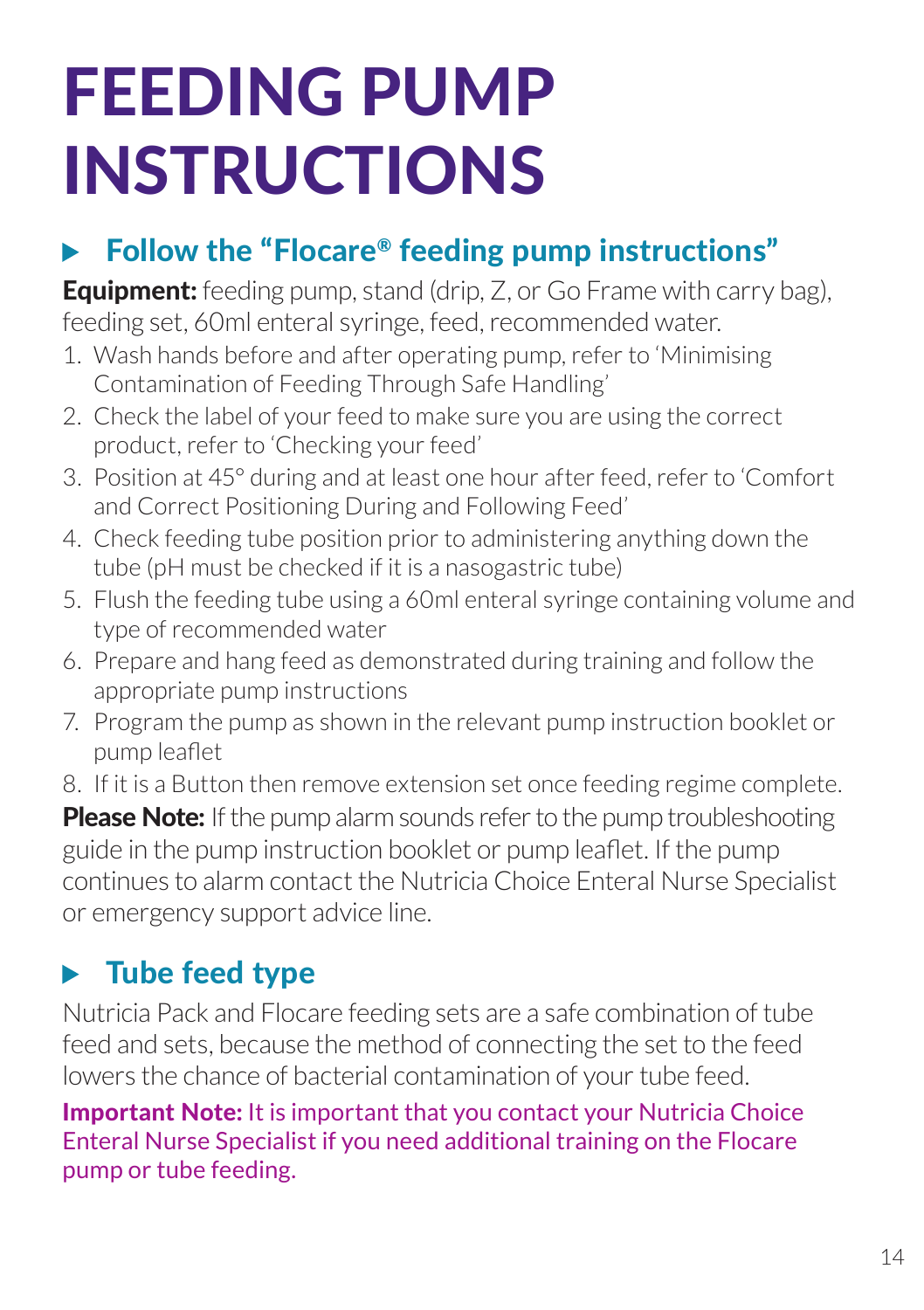### FEEDING PUMP INSTRUCTIONS

#### Follow the "Flocare® feeding pump instructions"  $\blacktriangleright$

**Equipment:** feeding pump, stand (drip, Z, or Go Frame with carry bag), feeding set, 60ml enteral syringe, feed, recommended water.

- 1. Wash hands before and after operating pump, refer to 'Minimising Contamination of Feeding Through Safe Handling'
- 2. Check the label of your feed to make sure you are using the correct product, refer to 'Checking your feed'
- 3. Position at 45° during and at least one hour after feed, refer to 'Comfort and Correct Positioning During and Following Feed'
- 4. Check feeding tube position prior to administering anything down the tube (pH must be checked if it is a nasogastric tube)
- 5. Flush the feeding tube using a 60ml enteral syringe containing volume and type of recommended water
- 6. Prepare and hang feed as demonstrated during training and follow the appropriate pump instructions
- 7. Program the pump as shown in the relevant pump instruction booklet or pump leaflet
- 8. If it is a Button then remove extension set once feeding regime complete.

**Please Note:** If the pump alarm sounds refer to the pump troubleshooting guide in the pump instruction booklet or pump leaflet. If the pump continues to alarm contact the Nutricia Choice Enteral Nurse Specialist or emergency support advice line.

#### $\blacktriangleright$  Tube feed type

Nutricia Pack and Flocare feeding sets are a safe combination of tube feed and sets, because the method of connecting the set to the feed lowers the chance of bacterial contamination of your tube feed.

Important Note: It is important that you contact your Nutricia Choice Enteral Nurse Specialist if you need additional training on the Flocare pump or tube feeding.